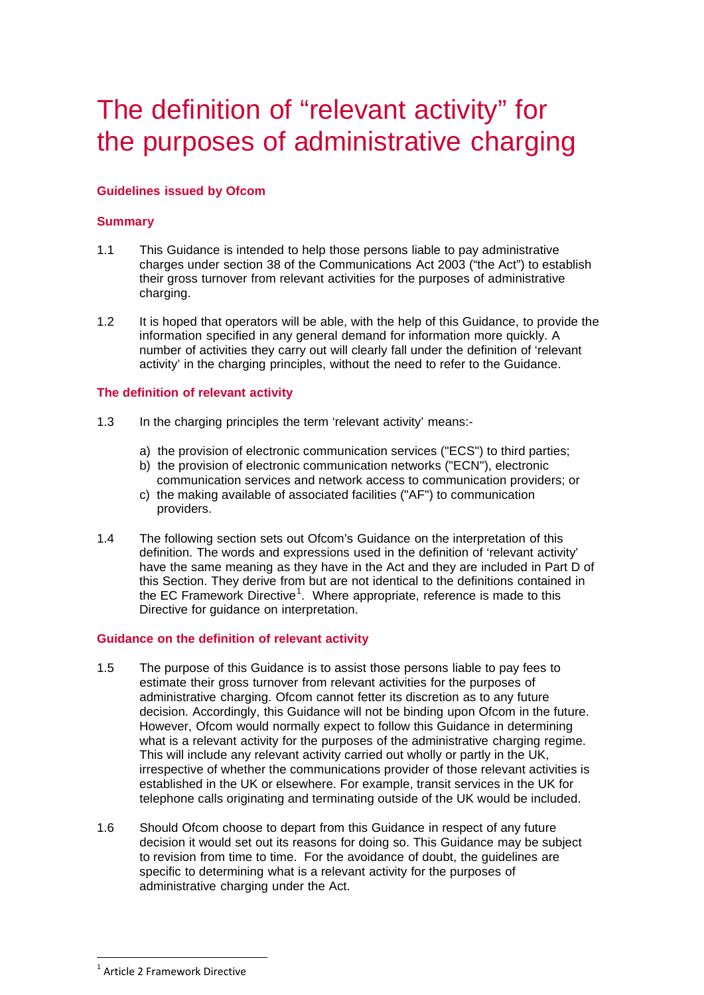# The definition of "relevant activity" for the purposes of administrative charging

## **Guidelines issued by Ofcom**

## **Summary**

- 1.1 This Guidance is intended to help those persons liable to pay administrative charges under section 38 of the Communications Act 2003 ("the Act") to establish their gross turnover from relevant activities for the purposes of administrative charging.
- 1.2 It is hoped that operators will be able, with the help of this Guidance, to provide the information specified in any general demand for information more quickly. A number of activities they carry out will clearly fall under the definition of 'relevant activity' in the charging principles, without the need to refer to the Guidance.

#### **The definition of relevant activity**

- 1.3 In the charging principles the term 'relevant activity' means:
	- a) the provision of electronic communication services ("ECS") to third parties;
	- b) the provision of electronic communication networks ("ECN"), electronic communication services and network access to communication providers; or
	- c) the making available of associated facilities ("AF") to communication providers.
- 1.4 The following section sets out Ofcom's Guidance on the interpretation of this definition. The words and expressions used in the definition of 'relevant activity' have the same meaning as they have in the Act and they are included in Part D of this Section. They derive from but are not identical to the definitions contained in the EC Framework Directive<sup>[1](#page-0-0)</sup>. Where appropriate, reference is made to this Directive for guidance on interpretation.

#### **Guidance on the definition of relevant activity**

- 1.5 The purpose of this Guidance is to assist those persons liable to pay fees to estimate their gross turnover from relevant activities for the purposes of administrative charging. Ofcom cannot fetter its discretion as to any future decision. Accordingly, this Guidance will not be binding upon Ofcom in the future. However, Ofcom would normally expect to follow this Guidance in determining what is a relevant activity for the purposes of the administrative charging regime. This will include any relevant activity carried out wholly or partly in the UK, irrespective of whether the communications provider of those relevant activities is established in the UK or elsewhere. For example, transit services in the UK for telephone calls originating and terminating outside of the UK would be included.
- 1.6 Should Ofcom choose to depart from this Guidance in respect of any future decision it would set out its reasons for doing so. This Guidance may be subject to revision from time to time. For the avoidance of doubt, the guidelines are specific to determining what is a relevant activity for the purposes of administrative charging under the Act.

<span id="page-0-0"></span> <sup>1</sup> Article 2 Framework Directive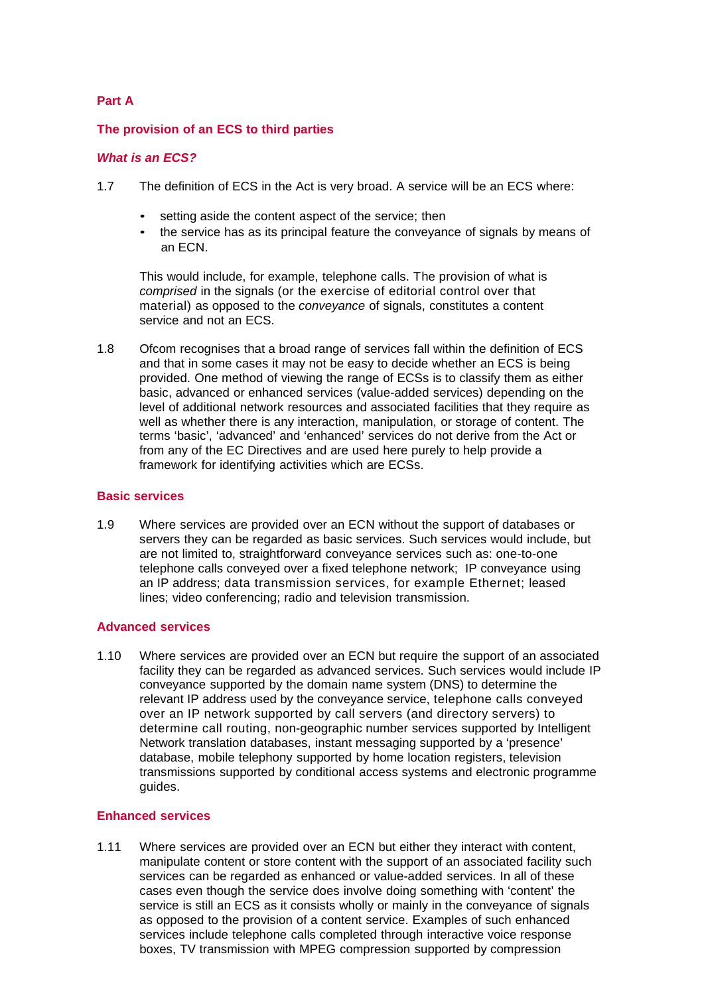## **Part A**

#### **The provision of an ECS to third parties**

#### *What is an ECS?*

- 1.7 The definition of ECS in the Act is very broad. A service will be an ECS where:
	- setting aside the content aspect of the service; then
	- the service has as its principal feature the conveyance of signals by means of an ECN.

This would include, for example, telephone calls. The provision of what is *comprised* in the signals (or the exercise of editorial control over that material) as opposed to the *conveyance* of signals, constitutes a content service and not an ECS.

1.8 Ofcom recognises that a broad range of services fall within the definition of ECS and that in some cases it may not be easy to decide whether an ECS is being provided. One method of viewing the range of ECSs is to classify them as either basic, advanced or enhanced services (value-added services) depending on the level of additional network resources and associated facilities that they require as well as whether there is any interaction, manipulation, or storage of content. The terms 'basic', 'advanced' and 'enhanced' services do not derive from the Act or from any of the EC Directives and are used here purely to help provide a framework for identifying activities which are ECSs.

#### **Basic services**

1.9 Where services are provided over an ECN without the support of databases or servers they can be regarded as basic services. Such services would include, but are not limited to, straightforward conveyance services such as: one-to-one telephone calls conveyed over a fixed telephone network; IP conveyance using an IP address; data transmission services, for example Ethernet; leased lines; video conferencing; radio and television transmission.

#### **Advanced services**

1.10 Where services are provided over an ECN but require the support of an associated facility they can be regarded as advanced services. Such services would include IP conveyance supported by the domain name system (DNS) to determine the relevant IP address used by the conveyance service, telephone calls conveyed over an IP network supported by call servers (and directory servers) to determine call routing, non-geographic number services supported by Intelligent Network translation databases, instant messaging supported by a 'presence' database, mobile telephony supported by home location registers, television transmissions supported by conditional access systems and electronic programme guides.

#### **Enhanced services**

1.11 Where services are provided over an ECN but either they interact with content, manipulate content or store content with the support of an associated facility such services can be regarded as enhanced or value-added services. In all of these cases even though the service does involve doing something with 'content' the service is still an ECS as it consists wholly or mainly in the conveyance of signals as opposed to the provision of a content service. Examples of such enhanced services include telephone calls completed through interactive voice response boxes, TV transmission with MPEG compression supported by compression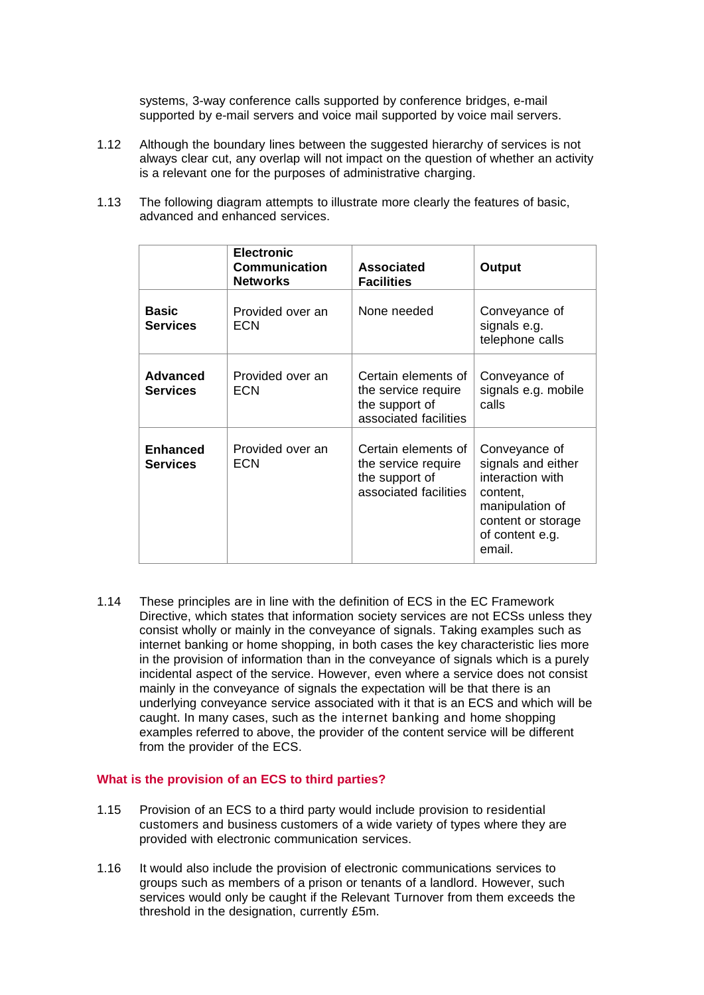systems, 3-way conference calls supported by conference bridges, e-mail supported by e-mail servers and voice mail supported by voice mail servers.

- 1.12 Although the boundary lines between the suggested hierarchy of services is not always clear cut, any overlap will not impact on the question of whether an activity is a relevant one for the purposes of administrative charging.
- 1.13 The following diagram attempts to illustrate more clearly the features of basic, advanced and enhanced services.

|                                    | <b>Electronic</b><br><b>Communication</b><br><b>Networks</b> | <b>Associated</b><br><b>Facilities</b>                                                | Output                                                                                                                                    |
|------------------------------------|--------------------------------------------------------------|---------------------------------------------------------------------------------------|-------------------------------------------------------------------------------------------------------------------------------------------|
| <b>Basic</b><br><b>Services</b>    | Provided over an<br>ECN                                      | None needed                                                                           | Conveyance of<br>signals e.g.<br>telephone calls                                                                                          |
| Advanced<br><b>Services</b>        | Provided over an<br>ECN                                      | Certain elements of<br>the service require<br>the support of<br>associated facilities | Conveyance of<br>signals e.g. mobile<br>calls                                                                                             |
| <b>Enhanced</b><br><b>Services</b> | Provided over an<br><b>ECN</b>                               | Certain elements of<br>the service require<br>the support of<br>associated facilities | Conveyance of<br>signals and either<br>interaction with<br>content,<br>manipulation of<br>content or storage<br>of content e.g.<br>email. |

1.14 These principles are in line with the definition of ECS in the EC Framework Directive, which states that information society services are not ECSs unless they consist wholly or mainly in the conveyance of signals. Taking examples such as internet banking or home shopping, in both cases the key characteristic lies more in the provision of information than in the conveyance of signals which is a purely incidental aspect of the service. However, even where a service does not consist mainly in the conveyance of signals the expectation will be that there is an underlying conveyance service associated with it that is an ECS and which will be caught. In many cases, such as the internet banking and home shopping examples referred to above, the provider of the content service will be different from the provider of the ECS.

#### **What is the provision of an ECS to third parties?**

- 1.15 Provision of an ECS to a third party would include provision to residential customers and business customers of a wide variety of types where they are provided with electronic communication services.
- 1.16 It would also include the provision of electronic communications services to groups such as members of a prison or tenants of a landlord. However, such services would only be caught if the Relevant Turnover from them exceeds the threshold in the designation, currently £5m.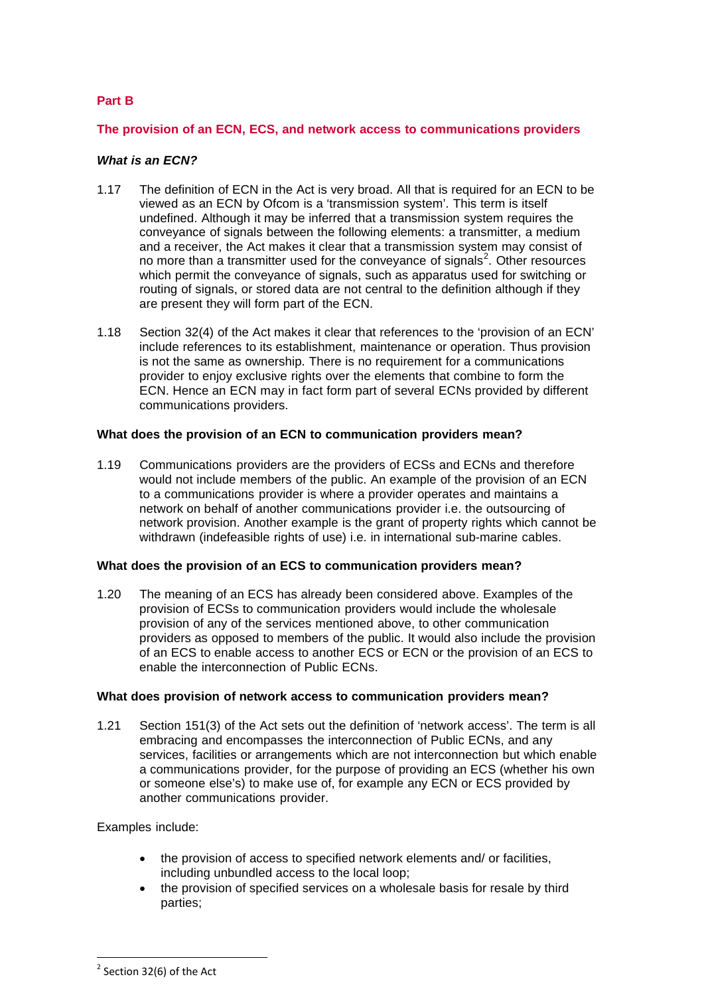### **Part B**

#### **The provision of an ECN, ECS, and network access to communications providers**

### *What is an ECN?*

- 1.17 The definition of ECN in the Act is very broad. All that is required for an ECN to be viewed as an ECN by Ofcom is a 'transmission system'. This term is itself undefined. Although it may be inferred that a transmission system requires the conveyance of signals between the following elements: a transmitter, a medium and a receiver, the Act makes it clear that a transmission system may consist of no more than a transmitter used for the conveyance of signals<sup>[2](#page-3-0)</sup>. Other resources which permit the conveyance of signals, such as apparatus used for switching or routing of signals, or stored data are not central to the definition although if they are present they will form part of the ECN.
- 1.18 Section 32(4) of the Act makes it clear that references to the 'provision of an ECN' include references to its establishment, maintenance or operation. Thus provision is not the same as ownership. There is no requirement for a communications provider to enjoy exclusive rights over the elements that combine to form the ECN. Hence an ECN may in fact form part of several ECNs provided by different communications providers.

#### **What does the provision of an ECN to communication providers mean?**

1.19 Communications providers are the providers of ECSs and ECNs and therefore would not include members of the public. An example of the provision of an ECN to a communications provider is where a provider operates and maintains a network on behalf of another communications provider i.e. the outsourcing of network provision. Another example is the grant of property rights which cannot be withdrawn (indefeasible rights of use) i.e. in international sub-marine cables.

#### **What does the provision of an ECS to communication providers mean?**

1.20 The meaning of an ECS has already been considered above. Examples of the provision of ECSs to communication providers would include the wholesale provision of any of the services mentioned above, to other communication providers as opposed to members of the public. It would also include the provision of an ECS to enable access to another ECS or ECN or the provision of an ECS to enable the interconnection of Public ECNs.

#### **What does provision of network access to communication providers mean?**

1.21 Section 151(3) of the Act sets out the definition of 'network access'. The term is all embracing and encompasses the interconnection of Public ECNs, and any services, facilities or arrangements which are not interconnection but which enable a communications provider, for the purpose of providing an ECS (whether his own or someone else's) to make use of, for example any ECN or ECS provided by another communications provider.

Examples include:

- the provision of access to specified network elements and/ or facilities, including unbundled access to the local loop;
- the provision of specified services on a wholesale basis for resale by third parties;

<span id="page-3-0"></span> $2$  Section 32(6) of the Act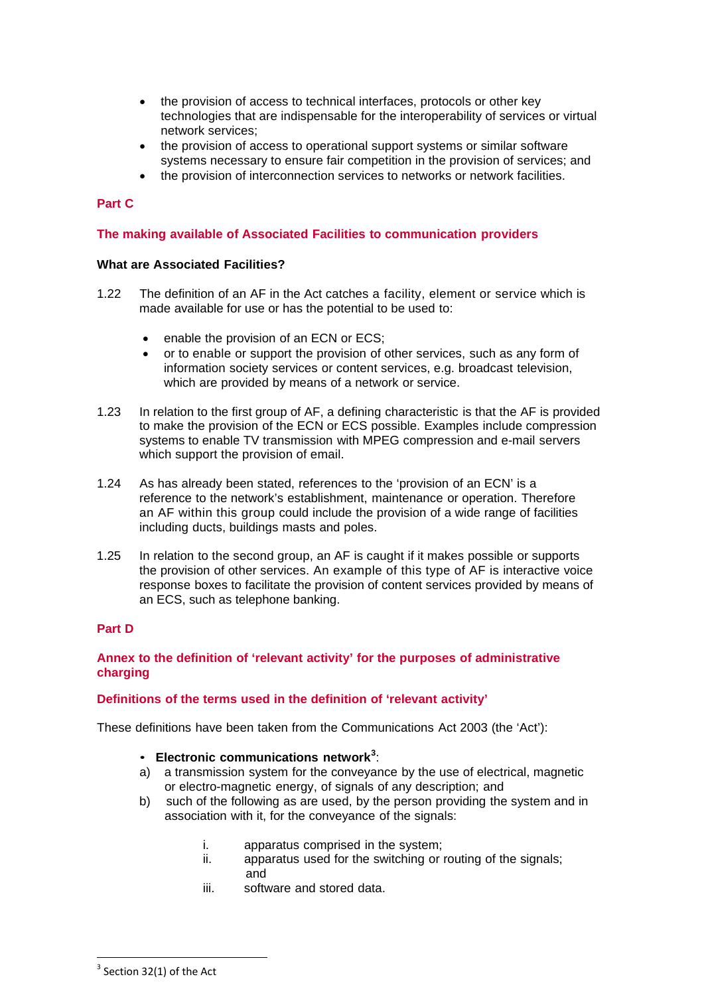- the provision of access to technical interfaces, protocols or other key technologies that are indispensable for the interoperability of services or virtual network services;
- the provision of access to operational support systems or similar software systems necessary to ensure fair competition in the provision of services; and
- the provision of interconnection services to networks or network facilities.

## **Part C**

#### **The making available of Associated Facilities to communication providers**

#### **What are Associated Facilities?**

- 1.22 The definition of an AF in the Act catches a facility, element or service which is made available for use or has the potential to be used to:
	- enable the provision of an ECN or ECS;
	- or to enable or support the provision of other services, such as any form of information society services or content services, e.g. broadcast television, which are provided by means of a network or service.
- 1.23 In relation to the first group of AF, a defining characteristic is that the AF is provided to make the provision of the ECN or ECS possible. Examples include compression systems to enable TV transmission with MPEG compression and e-mail servers which support the provision of email.
- 1.24 As has already been stated, references to the 'provision of an ECN' is a reference to the network's establishment, maintenance or operation. Therefore an AF within this group could include the provision of a wide range of facilities including ducts, buildings masts and poles.
- 1.25 In relation to the second group, an AF is caught if it makes possible or supports the provision of other services. An example of this type of AF is interactive voice response boxes to facilitate the provision of content services provided by means of an ECS, such as telephone banking.

## **Part D**

## **Annex to the definition of 'relevant activity' for the purposes of administrative charging**

#### **Definitions of the terms used in the definition of 'relevant activity'**

These definitions have been taken from the Communications Act 2003 (the 'Act'):

- **Electronic communications network[3](#page-4-0)** :
- a) a transmission system for the conveyance by the use of electrical, magnetic or electro-magnetic energy, of signals of any description; and
- b) such of the following as are used, by the person providing the system and in association with it, for the conveyance of the signals:
	- i. apparatus comprised in the system;
	- ii. apparatus used for the switching or routing of the signals; and
	- iii. software and stored data.

<span id="page-4-0"></span> $3$  Section 32(1) of the Act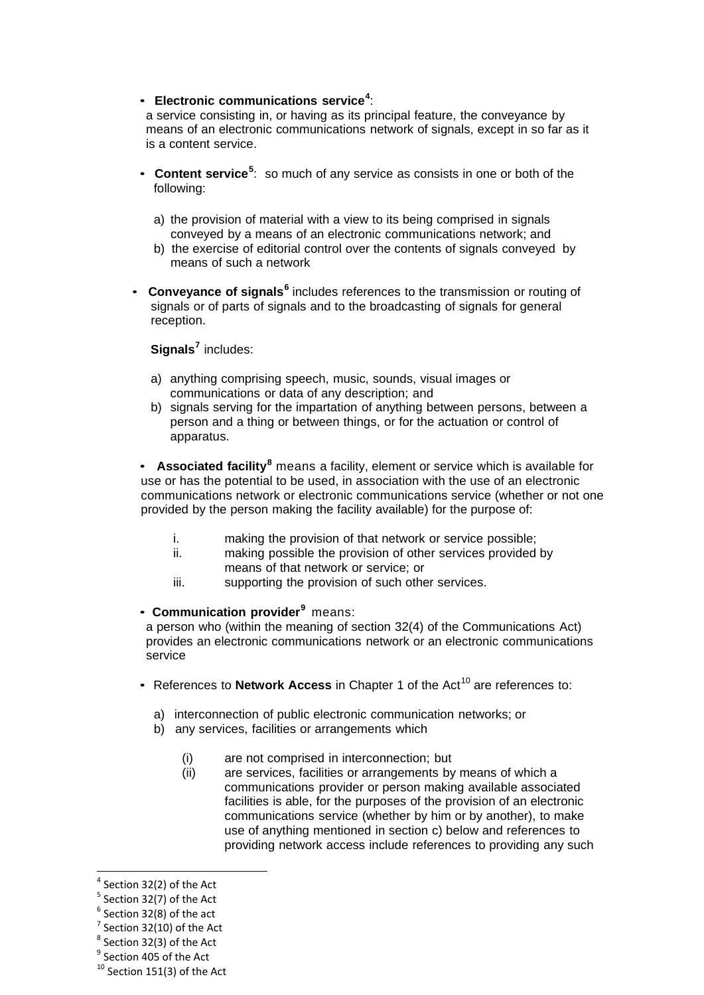# • **Electronic communications service[4](#page-5-0)** :

a service consisting in, or having as its principal feature, the conveyance by means of an electronic communications network of signals, except in so far as it is a content service.

- **Content service**<sup>[5](#page-5-1)</sup>: so much of any service as consists in one or both of the following:
	- a) the provision of material with a view to its being comprised in signals conveyed by a means of an electronic communications network; and
	- b) the exercise of editorial control over the contents of signals conveyed by means of such a network
- **Conveyance of signals[6](#page-5-2)** includes references to the transmission or routing of signals or of parts of signals and to the broadcasting of signals for general reception.

# **Signals[7](#page-5-3)** includes:

- a) anything comprising speech, music, sounds, visual images or communications or data of any description; and
- b) signals serving for the impartation of anything between persons, between a person and a thing or between things, or for the actuation or control of apparatus.

• **Associated facility[8](#page-5-4)** means a facility, element or service which is available for use or has the potential to be used, in association with the use of an electronic communications network or electronic communications service (whether or not one provided by the person making the facility available) for the purpose of:

- i. making the provision of that network or service possible;<br>ii. making possible the provision of other services provided
- making possible the provision of other services provided by means of that network or service; or
- iii. supporting the provision of such other services.

#### • **Communication provider[9](#page-5-5)** means:

a person who (within the meaning of section 32(4) of the Communications Act) provides an electronic communications network or an electronic communications service

- References to **Network Access** in Chapter 1 of the Act [10](#page-5-6) are references to:
	- a) interconnection of public electronic communication networks; or
	- b) any services, facilities or arrangements which
		- (i) are not comprised in interconnection; but
		- (ii) are services, facilities or arrangements by means of which a communications provider or person making available associated facilities is able, for the purposes of the provision of an electronic communications service (whether by him or by another), to make use of anything mentioned in section c) below and references to providing network access include references to providing any such

<span id="page-5-0"></span> <sup>4</sup> Section 32(2) of the Act

<span id="page-5-1"></span><sup>5</sup> Section 32(7) of the Act

<span id="page-5-2"></span> $6$  Section 32(8) of the act

 $7$  Section 32(10) of the Act

<span id="page-5-4"></span><span id="page-5-3"></span> $8$  Section 32(3) of the Act

<span id="page-5-5"></span><sup>&</sup>lt;sup>9</sup> Section 405 of the Act

<span id="page-5-6"></span> $10$  Section 151(3) of the Act